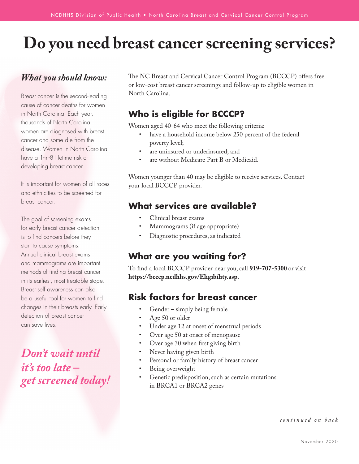# **Do you need breast cancer screening services?**

### *What you should know:*

Breast cancer is the second-leading cause of cancer deaths for women in North Carolina. Each year, thousands of North Carolina women are diagnosed with breast cancer and some die from the disease. Women in North Carolina have a 1-in-8 lifetime risk of developing breast cancer.

It is important for women of all races and ethnicities to be screened for breast cancer.

The goal of screening exams for early breast cancer detection is to find cancers before they start to cause symptoms. Annual clinical breast exams and mammograms are important methods of finding breast cancer in its earliest, most treatable stage. Breast self awareness can also be a useful tool for women to find changes in their breasts early. Early detection of breast cancer can save lives.

*Don't wait until it's too late – get screened today!* 

The NC Breast and Cervical Cancer Control Program (BCCCP) offers free or low-cost breast cancer screenings and follow-up to eligible women in North Carolina.

## **Who is eligible for BCCCP?**

Women aged 40-64 who meet the following criteria:

- have a household income below 250 percent of the federal poverty level;
- are uninsured or underinsured; and
- are without Medicare Part B or Medicaid.

Women younger than 40 may be eligible to receive services. Contact your local BCCCP provider.

### **What services are available?**

- Clinical breast exams
- Mammograms (if age appropriate)
- Diagnostic procedures, as indicated

### **What are you waiting for?**

To find a local BCCCP provider near you, call **919-707-5300** or visit **https://bcccp.ncdhhs.gov/Eligibility.asp**.

### **Risk factors for breast cancer**

- Gender simply being female
- Age 50 or older
- Under age 12 at onset of menstrual periods
- Over age 50 at onset of menopause
- Over age 30 when first giving birth
- Never having given birth
- Personal or family history of breast cancer
- Being overweight
- Genetic predisposition, such as certain mutations in BRCA1 or BRCA2 genes

*continued on back*